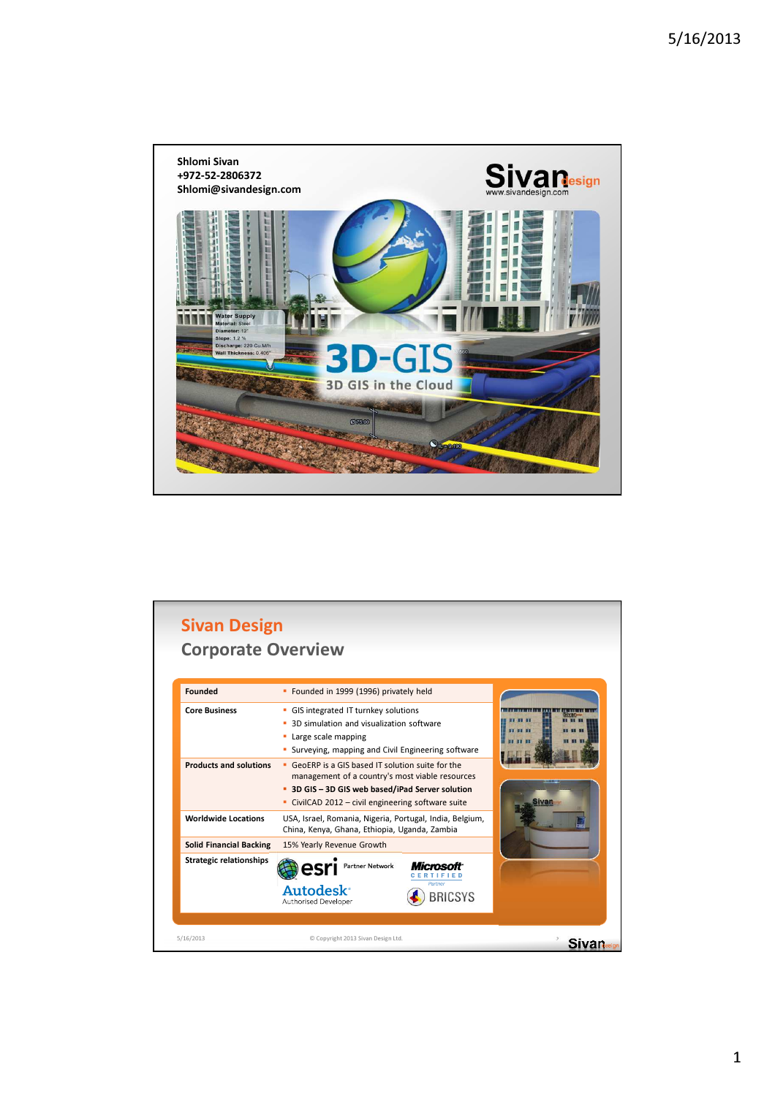

| <b>Founded</b>                 | • Founded in 1999 (1996) privately held                                                                                                                                                                        |                    |              |
|--------------------------------|----------------------------------------------------------------------------------------------------------------------------------------------------------------------------------------------------------------|--------------------|--------------|
| <b>Core Business</b>           | • GIS integrated IT turnkey solutions<br>3D simulation and visualization software<br>Large scale mapping<br>٥<br>Surveying, mapping and Civil Engineering software                                             |                    | <b>Sivan</b> |
| <b>Products and solutions</b>  | • GeoERP is a GIS based IT solution suite for the<br>management of a country's most viable resources<br>• 3D GIS - 3D GIS web based/iPad Server solution<br>• CivilCAD 2012 - civil engineering software suite |                    |              |
| <b>Worldwide Locations</b>     | USA, Israel, Romania, Nigeria, Portugal, India, Belgium,<br>China, Kenya, Ghana, Ethiopia, Uganda, Zambia                                                                                                      |                    |              |
| <b>Solid Financial Backing</b> | 15% Yearly Revenue Growth                                                                                                                                                                                      |                    |              |
| <b>Strategic relationships</b> | <b>Partner Network</b>                                                                                                                                                                                         |                    |              |
|                                | <b>Autodesk<sup>®</sup></b><br>Authorised Developer                                                                                                                                                            | Partner<br>BRICSYS |              |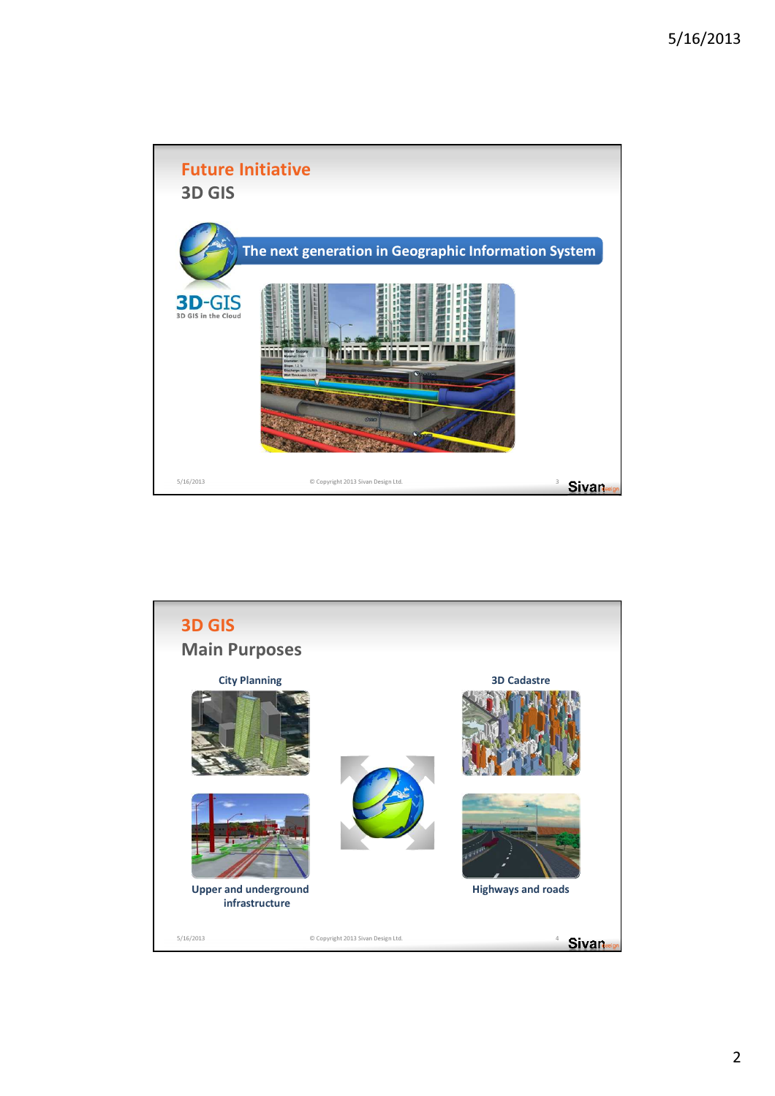

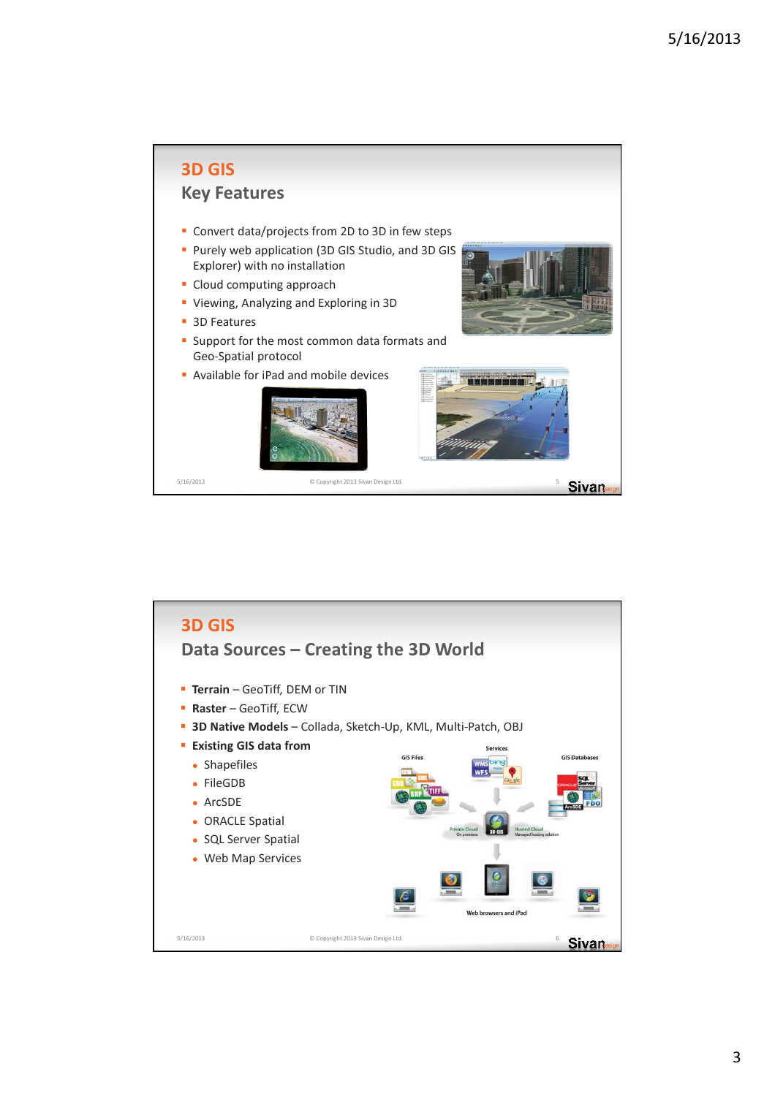

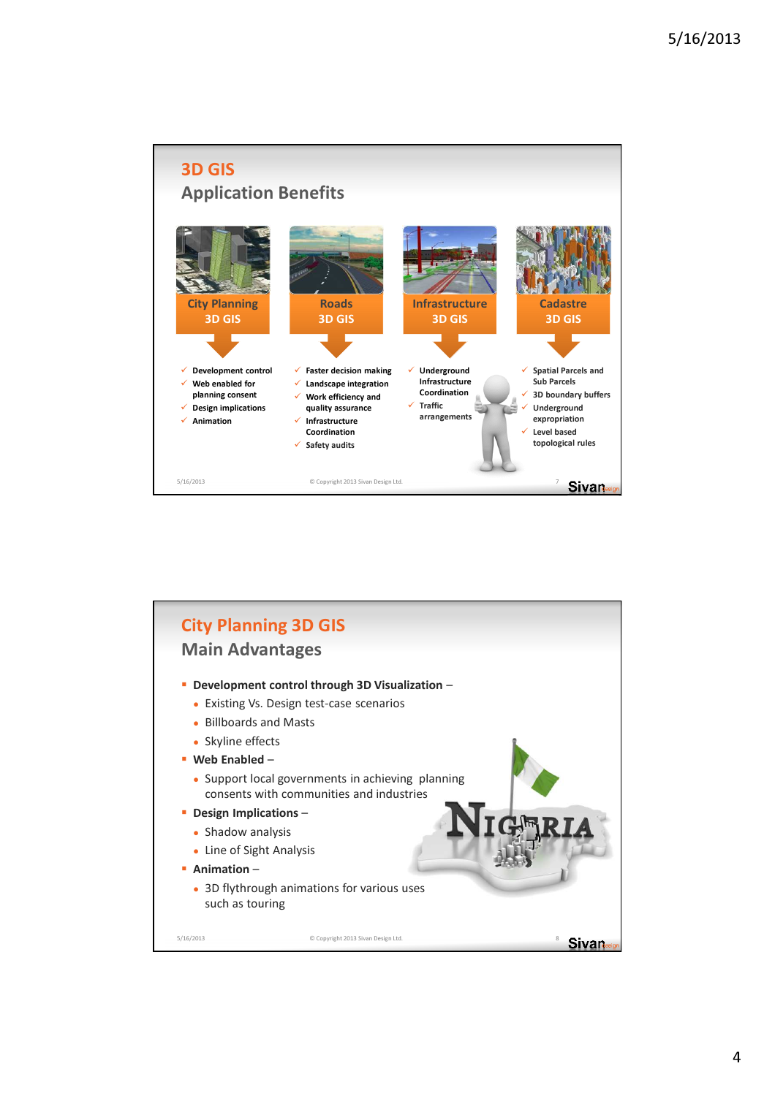

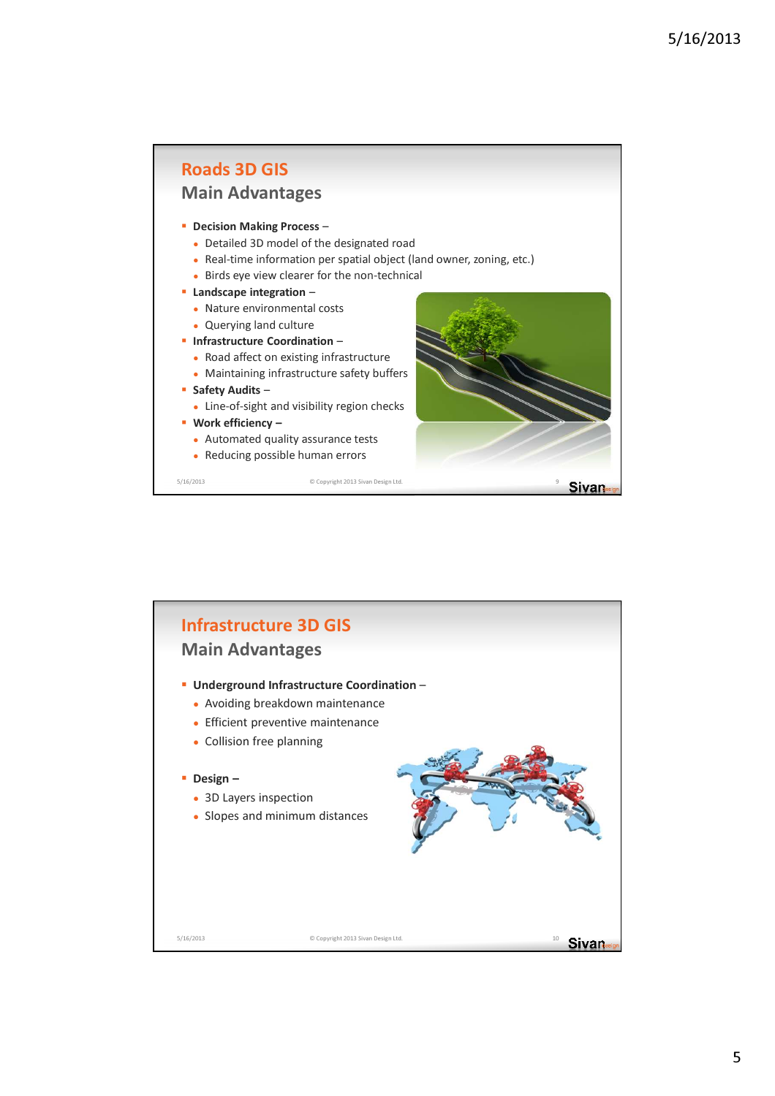